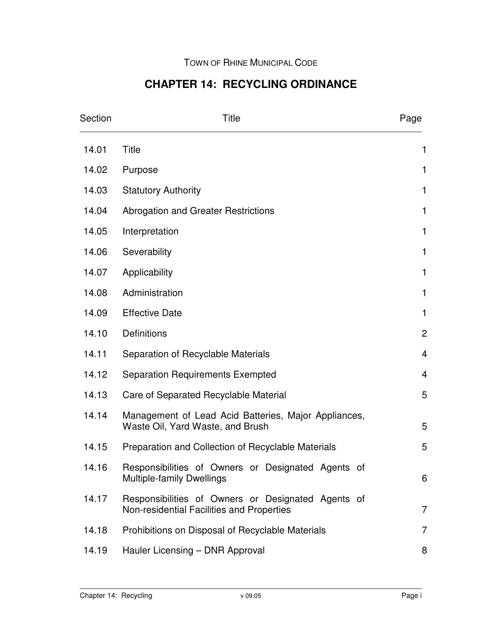# **CHAPTER 14: RECYCLING ORDINANCE**

| Section | <b>Title</b>                                                                                    | Page           |
|---------|-------------------------------------------------------------------------------------------------|----------------|
| 14.01   | <b>Title</b>                                                                                    | 1              |
| 14.02   | Purpose                                                                                         | 1              |
| 14.03   | <b>Statutory Authority</b>                                                                      | $\mathbf{1}$   |
| 14.04   | Abrogation and Greater Restrictions                                                             | $\mathbf{1}$   |
| 14.05   | Interpretation                                                                                  | 1              |
| 14.06   | Severability                                                                                    | 1              |
| 14.07   | Applicability                                                                                   | $\mathbf{1}$   |
| 14.08   | Administration                                                                                  | $\mathbf{1}$   |
| 14.09   | <b>Effective Date</b>                                                                           | 1              |
| 14.10   | Definitions                                                                                     | $\overline{c}$ |
| 14.11   | Separation of Recyclable Materials                                                              | $\overline{4}$ |
| 14.12   | <b>Separation Requirements Exempted</b>                                                         | 4              |
| 14.13   | Care of Separated Recyclable Material                                                           | 5              |
| 14.14   | Management of Lead Acid Batteries, Major Appliances,<br>Waste Oil, Yard Waste, and Brush        | 5              |
| 14.15   | Preparation and Collection of Recyclable Materials                                              | 5              |
| 14.16   | Responsibilities of Owners or Designated Agents of<br><b>Multiple-family Dwellings</b>          | 6              |
| 14.17   | Responsibilities of Owners or Designated Agents of<br>Non-residential Facilities and Properties | $\overline{7}$ |
| 14.18   | Prohibitions on Disposal of Recyclable Materials                                                | $\overline{7}$ |
| 14.19   | Hauler Licensing - DNR Approval                                                                 | 8              |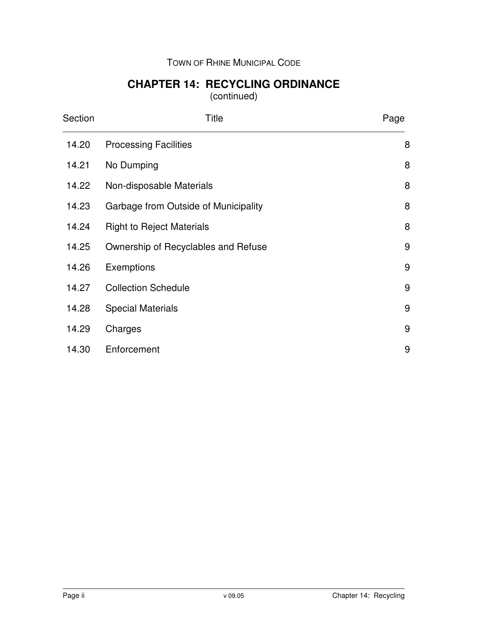### TOWN OF RHINE MUNICIPAL CODE

## **CHAPTER 14: RECYCLING ORDINANCE**

(continued)

| Section | <b>Title</b>                         | Page |
|---------|--------------------------------------|------|
| 14.20   | <b>Processing Facilities</b>         | 8    |
| 14.21   | No Dumping                           | 8    |
| 14.22   | Non-disposable Materials             | 8    |
| 14.23   | Garbage from Outside of Municipality | 8    |
| 14.24   | <b>Right to Reject Materials</b>     | 8    |
| 14.25   | Ownership of Recyclables and Refuse  | 9    |
| 14.26   | Exemptions                           | 9    |
| 14.27   | <b>Collection Schedule</b>           | 9    |
| 14.28   | <b>Special Materials</b>             | 9    |
| 14.29   | Charges                              | 9    |
| 14.30   | Enforcement                          | 9    |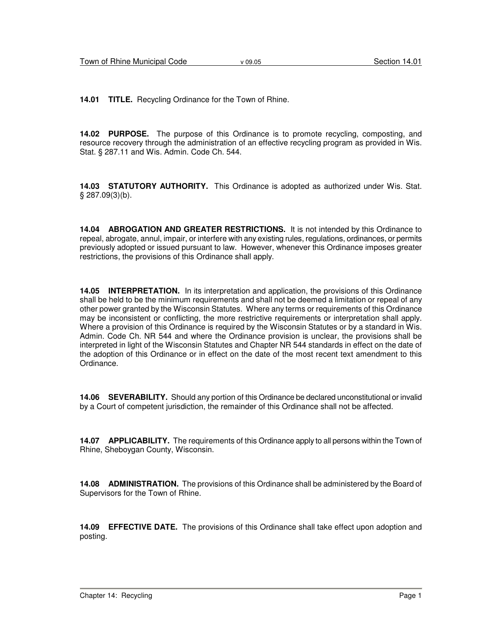**14.01 TITLE.** Recycling Ordinance for the Town of Rhine.

**14.02 PURPOSE.** The purpose of this Ordinance is to promote recycling, composting, and resource recovery through the administration of an effective recycling program as provided in Wis. Stat. § 287.11 and Wis. Admin. Code Ch. 544.

**14.03 STATUTORY AUTHORITY.** This Ordinance is adopted as authorized under Wis. Stat. § 287.09(3)(b).

**14.04 ABROGATION AND GREATER RESTRICTIONS.** It is not intended by this Ordinance to repeal, abrogate, annul, impair, or interfere with any existing rules, regulations, ordinances, or permits previously adopted or issued pursuant to law. However, whenever this Ordinance imposes greater restrictions, the provisions of this Ordinance shall apply.

**14.05 INTERPRETATION.** In its interpretation and application, the provisions of this Ordinance shall be held to be the minimum requirements and shall not be deemed a limitation or repeal of any other power granted by the Wisconsin Statutes. Where any terms or requirements of this Ordinance may be inconsistent or conflicting, the more restrictive requirements or interpretation shall apply. Where a provision of this Ordinance is required by the Wisconsin Statutes or by a standard in Wis. Admin. Code Ch. NR 544 and where the Ordinance provision is unclear, the provisions shall be interpreted in light of the Wisconsin Statutes and Chapter NR 544 standards in effect on the date of the adoption of this Ordinance or in effect on the date of the most recent text amendment to this Ordinance.

**14.06 SEVERABILITY.** Should any portion of this Ordinance be declared unconstitutional or invalid by a Court of competent jurisdiction, the remainder of this Ordinance shall not be affected.

**14.07 APPLICABILITY.** The requirements of this Ordinance apply to all persons within the Town of Rhine, Sheboygan County, Wisconsin.

**14.08 ADMINISTRATION.** The provisions of this Ordinance shall be administered by the Board of Supervisors for the Town of Rhine.

**14.09 EFFECTIVE DATE.** The provisions of this Ordinance shall take effect upon adoption and posting.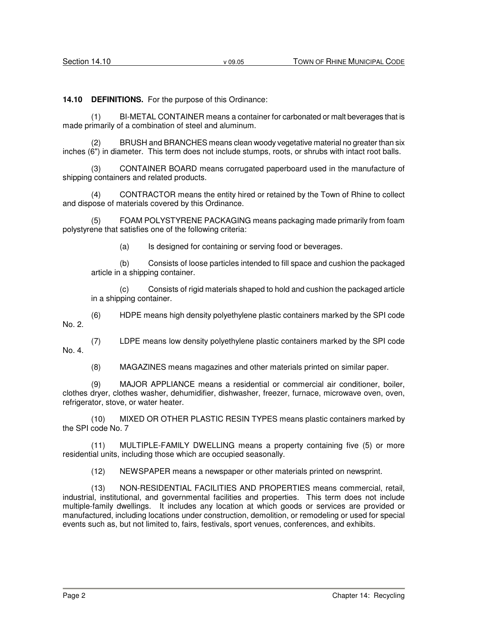**14.10 DEFINITIONS.** For the purpose of this Ordinance:

BI-METAL CONTAINER means a container for carbonated or malt beverages that is made primarily of a combination of steel and aluminum.

(2) BRUSH and BRANCHES means clean woody vegetative material no greater than six inches (6") in diameter. This term does not include stumps, roots, or shrubs with intact root balls.

(3) CONTAINER BOARD means corrugated paperboard used in the manufacture of shipping containers and related products.

(4) CONTRACTOR means the entity hired or retained by the Town of Rhine to collect and dispose of materials covered by this Ordinance.

(5) FOAM POLYSTYRENE PACKAGING means packaging made primarily from foam polystyrene that satisfies one of the following criteria:

(a) Is designed for containing or serving food or beverages.

(b) Consists of loose particles intended to fill space and cushion the packaged article in a shipping container.

(c) Consists of rigid materials shaped to hold and cushion the packaged article in a shipping container.

(6) HDPE means high density polyethylene plastic containers marked by the SPI code No. 2.

(7) LDPE means low density polyethylene plastic containers marked by the SPI code No. 4.

(8) MAGAZINES means magazines and other materials printed on similar paper.

(9) MAJOR APPLIANCE means a residential or commercial air conditioner, boiler, clothes dryer, clothes washer, dehumidifier, dishwasher, freezer, furnace, microwave oven, oven, refrigerator, stove, or water heater.

(10) MIXED OR OTHER PLASTIC RESIN TYPES means plastic containers marked by the SPI code No. 7

(11) MULTIPLE-FAMILY DWELLING means a property containing five (5) or more residential units, including those which are occupied seasonally.

(12) NEWSPAPER means a newspaper or other materials printed on newsprint.

(13) NON-RESIDENTIAL FACILITIES AND PROPERTIES means commercial, retail, industrial, institutional, and governmental facilities and properties. This term does not include multiple-family dwellings. It includes any location at which goods or services are provided or manufactured, including locations under construction, demolition, or remodeling or used for special events such as, but not limited to, fairs, festivals, sport venues, conferences, and exhibits.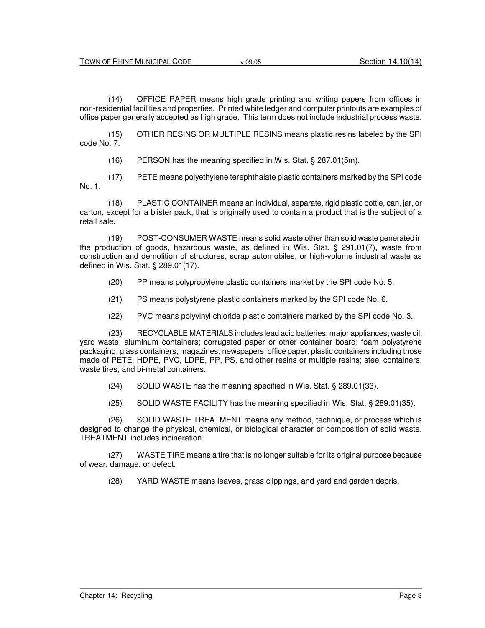(14) OFFICE PAPER means high grade printing and writing papers from offices in non-residential facilities and properties. Printed white ledger and computer printouts are examples of office paper generally accepted as high grade. This term does not include industrial process waste.

(15) OTHER RESINS OR MULTIPLE RESINS means plastic resins labeled by the SPI code No. 7.

(16) PERSON has the meaning specified in Wis. Stat. § 287.01(5m).

(17) PETE means polyethylene terephthalate plastic containers marked by the SPI code No. 1.

(18) PLASTIC CONTAINER means an individual, separate, rigid plastic bottle, can, jar, or carton, except for a blister pack, that is originally used to contain a product that is the subject of a retail sale.

(19) POST-CONSUMER WASTE means solid waste other than solid waste generated in the production of goods, hazardous waste, as defined in Wis. Stat. § 291.01(7), waste from construction and demolition of structures, scrap automobiles, or high-volume industrial waste as defined in Wis. Stat. § 289.01(17).

- (20) PP means polypropylene plastic containers market by the SPI code No. 5.
- (21) PS means polystyrene plastic containers marked by the SPI code No. 6.
- (22) PVC means polyvinyl chloride plastic containers marked by the SPI code No. 3.

(23) RECYCLABLE MATERIALS includes lead acid batteries; major appliances; waste oil; yard waste; aluminum containers; corrugated paper or other container board; foam polystyrene packaging; glass containers; magazines; newspapers; office paper; plastic containers including those made of PETE, HDPE, PVC, LDPE, PP, PS, and other resins or multiple resins; steel containers; waste tires; and bi-metal containers.

- (24) SOLID WASTE has the meaning specified in Wis. Stat. § 289.01(33).
- (25) SOLID WASTE FACILITY has the meaning specified in Wis. Stat. § 289.01(35).

(26) SOLID WASTE TREATMENT means any method, technique, or process which is designed to change the physical, chemical, or biological character or composition of solid waste. TREATMENT includes incineration.

(27) WASTE TIRE means a tire that is no longer suitable for its original purpose because of wear, damage, or defect.

(28) YARD WASTE means leaves, grass clippings, and yard and garden debris.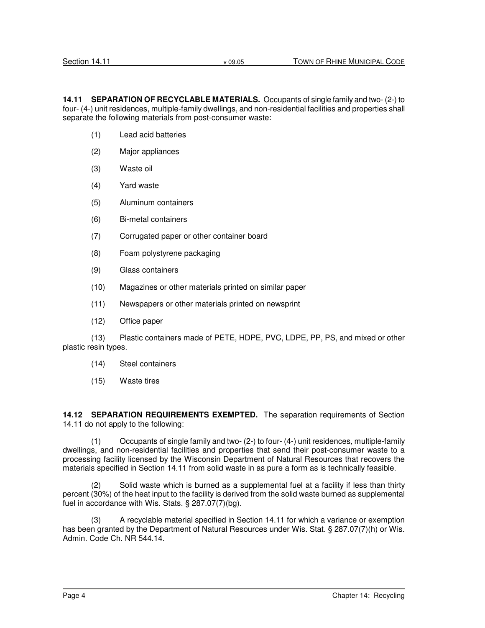**14.11 SEPARATION OF RECYCLABLE MATERIALS.** Occupants of single family and two- (2-) to four- (4-) unit residences, multiple-family dwellings, and non-residential facilities and properties shall separate the following materials from post-consumer waste:

- (1) Lead acid batteries
- (2) Major appliances
- (3) Waste oil
- (4) Yard waste
- (5) Aluminum containers
- (6) Bi-metal containers
- (7) Corrugated paper or other container board
- (8) Foam polystyrene packaging
- (9) Glass containers
- (10) Magazines or other materials printed on similar paper
- (11) Newspapers or other materials printed on newsprint
- (12) Office paper

(13) Plastic containers made of PETE, HDPE, PVC, LDPE, PP, PS, and mixed or other plastic resin types.

- (14) Steel containers
- (15) Waste tires

**14.12 SEPARATION REQUIREMENTS EXEMPTED.** The separation requirements of Section 14.11 do not apply to the following:

(1) Occupants of single family and two- (2-) to four- (4-) unit residences, multiple-family dwellings, and non-residential facilities and properties that send their post-consumer waste to a processing facility licensed by the Wisconsin Department of Natural Resources that recovers the materials specified in Section 14.11 from solid waste in as pure a form as is technically feasible.

(2) Solid waste which is burned as a supplemental fuel at a facility if less than thirty percent (30%) of the heat input to the facility is derived from the solid waste burned as supplemental fuel in accordance with Wis. Stats. § 287.07(7)(bg).

(3) A recyclable material specified in Section 14.11 for which a variance or exemption has been granted by the Department of Natural Resources under Wis. Stat. § 287.07(7)(h) or Wis. Admin. Code Ch. NR 544.14.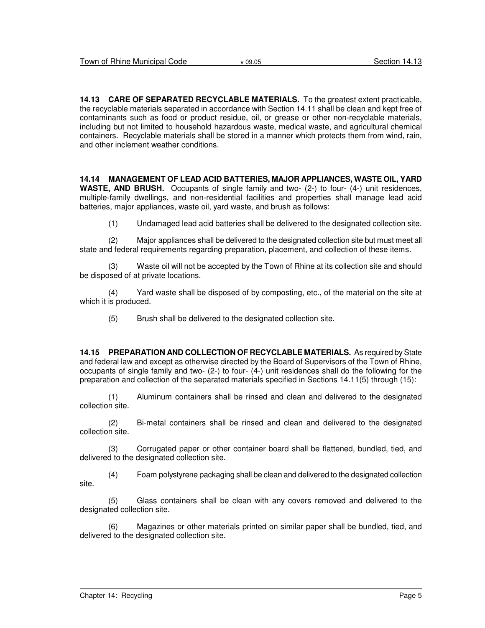**14.13 CARE OF SEPARATED RECYCLABLE MATERIALS.** To the greatest extent practicable, the recyclable materials separated in accordance with Section 14.11 shall be clean and kept free of contaminants such as food or product residue, oil, or grease or other non-recyclable materials, including but not limited to household hazardous waste, medical waste, and agricultural chemical containers. Recyclable materials shall be stored in a manner which protects them from wind, rain, and other inclement weather conditions.

**14.14 MANAGEMENT OF LEAD ACID BATTERIES, MAJOR APPLIANCES, WASTE OIL, YARD WASTE, AND BRUSH.** Occupants of single family and two- (2-) to four- (4-) unit residences, multiple-family dwellings, and non-residential facilities and properties shall manage lead acid batteries, major appliances, waste oil, yard waste, and brush as follows:

(1) Undamaged lead acid batteries shall be delivered to the designated collection site.

(2) Major appliances shall be delivered to the designated collection site but must meet all state and federal requirements regarding preparation, placement, and collection of these items.

(3) Waste oil will not be accepted by the Town of Rhine at its collection site and should be disposed of at private locations.

(4) Yard waste shall be disposed of by composting, etc., of the material on the site at which it is produced.

(5) Brush shall be delivered to the designated collection site.

**14.15 PREPARATION AND COLLECTION OF RECYCLABLE MATERIALS.** As required by State and federal law and except as otherwise directed by the Board of Supervisors of the Town of Rhine, occupants of single family and two- (2-) to four- (4-) unit residences shall do the following for the preparation and collection of the separated materials specified in Sections 14.11(5) through (15):

(1) Aluminum containers shall be rinsed and clean and delivered to the designated collection site.

(2) Bi-metal containers shall be rinsed and clean and delivered to the designated collection site.

(3) Corrugated paper or other container board shall be flattened, bundled, tied, and delivered to the designated collection site.

(4) Foam polystyrene packaging shall be clean and delivered to the designated collection site.

(5) Glass containers shall be clean with any covers removed and delivered to the designated collection site.

(6) Magazines or other materials printed on similar paper shall be bundled, tied, and delivered to the designated collection site.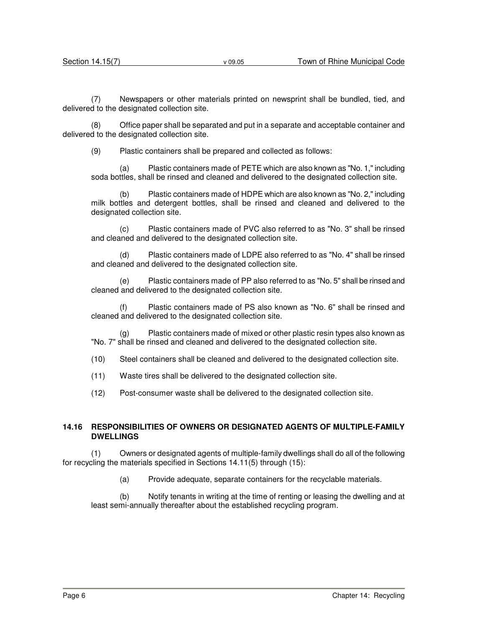(7) Newspapers or other materials printed on newsprint shall be bundled, tied, and delivered to the designated collection site.

(8) Office paper shall be separated and put in a separate and acceptable container and delivered to the designated collection site.

(9) Plastic containers shall be prepared and collected as follows:

(a) Plastic containers made of PETE which are also known as "No. 1," including soda bottles, shall be rinsed and cleaned and delivered to the designated collection site.

(b) Plastic containers made of HDPE which are also known as "No. 2," including milk bottles and detergent bottles, shall be rinsed and cleaned and delivered to the designated collection site.

(c) Plastic containers made of PVC also referred to as "No. 3" shall be rinsed and cleaned and delivered to the designated collection site.

(d) Plastic containers made of LDPE also referred to as "No. 4" shall be rinsed and cleaned and delivered to the designated collection site.

(e) Plastic containers made of PP also referred to as "No. 5" shall be rinsed and cleaned and delivered to the designated collection site.

(f) Plastic containers made of PS also known as "No. 6" shall be rinsed and cleaned and delivered to the designated collection site.

(g) Plastic containers made of mixed or other plastic resin types also known as "No. 7" shall be rinsed and cleaned and delivered to the designated collection site.

(10) Steel containers shall be cleaned and delivered to the designated collection site.

(11) Waste tires shall be delivered to the designated collection site.

(12) Post-consumer waste shall be delivered to the designated collection site.

#### **14.16 RESPONSIBILITIES OF OWNERS OR DESIGNATED AGENTS OF MULTIPLE-FAMILY DWELLINGS**

(1) Owners or designated agents of multiple-family dwellings shall do all of the following for recycling the materials specified in Sections 14.11(5) through (15):

(a) Provide adequate, separate containers for the recyclable materials.

(b) Notify tenants in writing at the time of renting or leasing the dwelling and at least semi-annually thereafter about the established recycling program.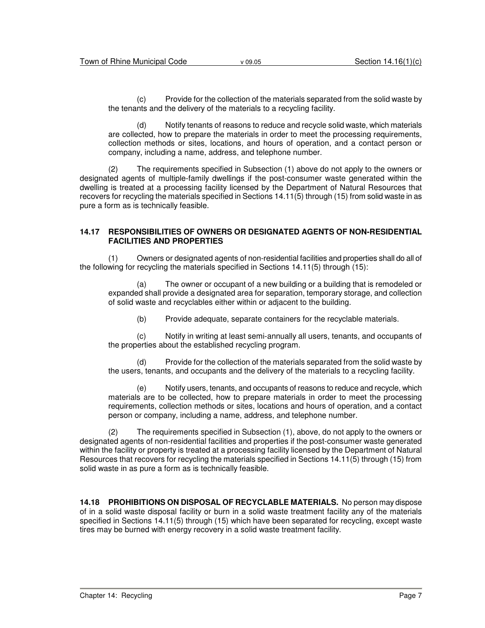(c) Provide for the collection of the materials separated from the solid waste by the tenants and the delivery of the materials to a recycling facility.

(d) Notify tenants of reasons to reduce and recycle solid waste, which materials are collected, how to prepare the materials in order to meet the processing requirements, collection methods or sites, locations, and hours of operation, and a contact person or company, including a name, address, and telephone number.

(2) The requirements specified in Subsection (1) above do not apply to the owners or designated agents of multiple-family dwellings if the post-consumer waste generated within the dwelling is treated at a processing facility licensed by the Department of Natural Resources that recovers for recycling the materials specified in Sections 14.11(5) through (15) from solid waste in as pure a form as is technically feasible.

#### **14.17 RESPONSIBILITIES OF OWNERS OR DESIGNATED AGENTS OF NON-RESIDENTIAL FACILITIES AND PROPERTIES**

(1) Owners or designated agents of non-residential facilities and properties shall do all of the following for recycling the materials specified in Sections 14.11(5) through (15):

(a) The owner or occupant of a new building or a building that is remodeled or expanded shall provide a designated area for separation, temporary storage, and collection of solid waste and recyclables either within or adjacent to the building.

(b) Provide adequate, separate containers for the recyclable materials.

(c) Notify in writing at least semi-annually all users, tenants, and occupants of the properties about the established recycling program.

(d) Provide for the collection of the materials separated from the solid waste by the users, tenants, and occupants and the delivery of the materials to a recycling facility.

(e) Notify users, tenants, and occupants of reasons to reduce and recycle, which materials are to be collected, how to prepare materials in order to meet the processing requirements, collection methods or sites, locations and hours of operation, and a contact person or company, including a name, address, and telephone number.

(2) The requirements specified in Subsection (1), above, do not apply to the owners or designated agents of non-residential facilities and properties if the post-consumer waste generated within the facility or property is treated at a processing facility licensed by the Department of Natural Resources that recovers for recycling the materials specified in Sections 14.11(5) through (15) from solid waste in as pure a form as is technically feasible.

**14.18 PROHIBITIONS ON DISPOSAL OF RECYCLABLE MATERIALS.** No person may dispose of in a solid waste disposal facility or burn in a solid waste treatment facility any of the materials specified in Sections 14.11(5) through (15) which have been separated for recycling, except waste tires may be burned with energy recovery in a solid waste treatment facility.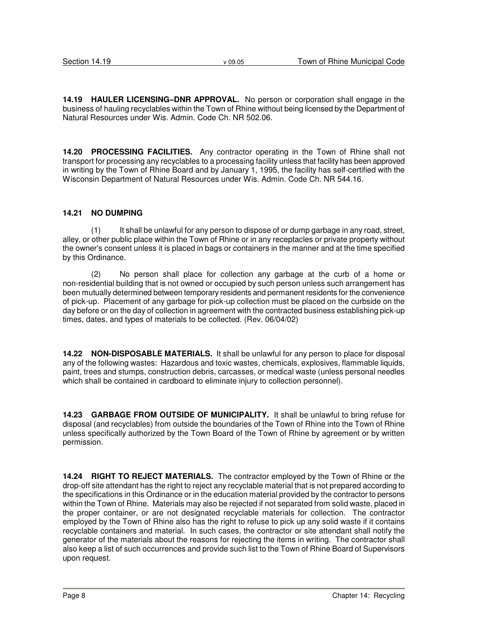**14.19 HAULER LICENSING–DNR APPROVAL.** No person or corporation shall engage in the business of hauling recyclables within the Town of Rhine without being licensed by the Department of Natural Resources under Wis. Admin. Code Ch. NR 502.06.

**14.20 PROCESSING FACILITIES.** Any contractor operating in the Town of Rhine shall not transport for processing any recyclables to a processing facility unless that facility has been approved in writing by the Town of Rhine Board and by January 1, 1995, the facility has self-certified with the Wisconsin Department of Natural Resources under Wis. Admin. Code Ch. NR 544.16.

#### **14.21 NO DUMPING**

(1) It shall be unlawful for any person to dispose of or dump garbage in any road, street, alley, or other public place within the Town of Rhine or in any receptacles or private property without the owner's consent unless it is placed in bags or containers in the manner and at the time specified by this Ordinance.

(2) No person shall place for collection any garbage at the curb of a home or non-residential building that is not owned or occupied by such person unless such arrangement has been mutually determined between temporary residents and permanent residents for the convenience of pick-up. Placement of any garbage for pick-up collection must be placed on the curbside on the day before or on the day of collection in agreement with the contracted business establishing pick-up times, dates, and types of materials to be collected. (Rev. 06/04/02)

**14.22 NON-DISPOSABLE MATERIALS.** It shall be unlawful for any person to place for disposal any of the following wastes: Hazardous and toxic wastes, chemicals, explosives, flammable liquids, paint, trees and stumps, construction debris, carcasses, or medical waste (unless personal needles which shall be contained in cardboard to eliminate injury to collection personnel).

**14.23 GARBAGE FROM OUTSIDE OF MUNICIPALITY.** It shall be unlawful to bring refuse for disposal (and recyclables) from outside the boundaries of the Town of Rhine into the Town of Rhine unless specifically authorized by the Town Board of the Town of Rhine by agreement or by written permission.

**14.24 RIGHT TO REJECT MATERIALS.** The contractor employed by the Town of Rhine or the drop-off site attendant has the right to reject any recyclable material that is not prepared according to the specifications in this Ordinance or in the education material provided by the contractor to persons within the Town of Rhine. Materials may also be rejected if not separated from solid waste, placed in the proper container, or are not designated recyclable materials for collection. The contractor employed by the Town of Rhine also has the right to refuse to pick up any solid waste if it contains recyclable containers and material. In such cases, the contractor or site attendant shall notify the generator of the materials about the reasons for rejecting the items in writing. The contractor shall also keep a list of such occurrences and provide such list to the Town of Rhine Board of Supervisors upon request.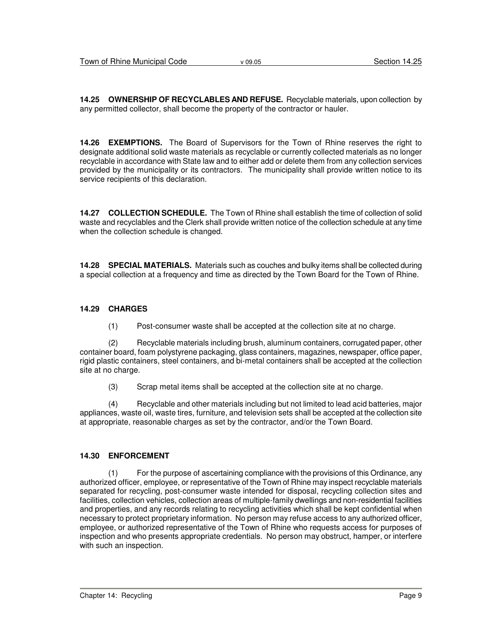**14.25 OWNERSHIP OF RECYCLABLES AND REFUSE.** Recyclable materials, upon collection by any permitted collector, shall become the property of the contractor or hauler.

**14.26 EXEMPTIONS.** The Board of Supervisors for the Town of Rhine reserves the right to designate additional solid waste materials as recyclable or currently collected materials as no longer recyclable in accordance with State law and to either add or delete them from any collection services provided by the municipality or its contractors. The municipality shall provide written notice to its service recipients of this declaration.

**14.27 COLLECTION SCHEDULE.** The Town of Rhine shall establish the time of collection of solid waste and recyclables and the Clerk shall provide written notice of the collection schedule at any time when the collection schedule is changed.

**14.28 SPECIAL MATERIALS.** Materials such as couches and bulky items shall be collected during a special collection at a frequency and time as directed by the Town Board for the Town of Rhine.

#### **14.29 CHARGES**

(1) Post-consumer waste shall be accepted at the collection site at no charge.

(2) Recyclable materials including brush, aluminum containers, corrugated paper, other container board, foam polystyrene packaging, glass containers, magazines, newspaper, office paper, rigid plastic containers, steel containers, and bi-metal containers shall be accepted at the collection site at no charge.

(3) Scrap metal items shall be accepted at the collection site at no charge.

(4) Recyclable and other materials including but not limited to lead acid batteries, major appliances, waste oil, waste tires, furniture, and television sets shall be accepted at the collection site at appropriate, reasonable charges as set by the contractor, and/or the Town Board.

#### **14.30 ENFORCEMENT**

(1) For the purpose of ascertaining compliance with the provisions of this Ordinance, any authorized officer, employee, or representative of the Town of Rhine may inspect recyclable materials separated for recycling, post-consumer waste intended for disposal, recycling collection sites and facilities, collection vehicles, collection areas of multiple-family dwellings and non-residential facilities and properties, and any records relating to recycling activities which shall be kept confidential when necessary to protect proprietary information. No person may refuse access to any authorized officer, employee, or authorized representative of the Town of Rhine who requests access for purposes of inspection and who presents appropriate credentials. No person may obstruct, hamper, or interfere with such an inspection.